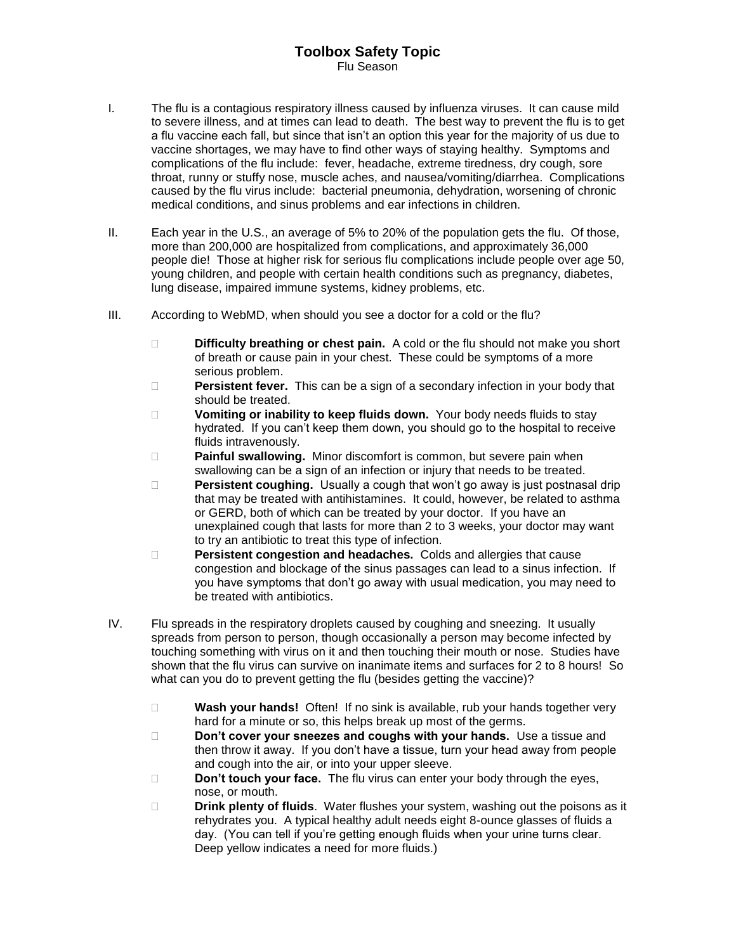## **Toolbox Safety Topic** Flu Season

- I. The flu is a contagious respiratory illness caused by influenza viruses. It can cause mild to severe illness, and at times can lead to death. The best way to prevent the flu is to get a flu vaccine each fall, but since that isn't an option this year for the majority of us due to vaccine shortages, we may have to find other ways of staying healthy. Symptoms and complications of the flu include: fever, headache, extreme tiredness, dry cough, sore throat, runny or stuffy nose, muscle aches, and nausea/vomiting/diarrhea. Complications caused by the flu virus include: bacterial pneumonia, dehydration, worsening of chronic medical conditions, and sinus problems and ear infections in children.
- II. Each year in the U.S., an average of 5% to 20% of the population gets the flu. Of those, more than 200,000 are hospitalized from complications, and approximately 36,000 people die! Those at higher risk for serious flu complications include people over age 50, young children, and people with certain health conditions such as pregnancy, diabetes, lung disease, impaired immune systems, kidney problems, etc.
- III. According to WebMD, when should you see a doctor for a cold or the flu?
	- **Difficulty breathing or chest pain.** A cold or the flu should not make you short of breath or cause pain in your chest. These could be symptoms of a more serious problem.
	- **Persistent fever.** This can be a sign of a secondary infection in your body that should be treated.
	- **Vomiting or inability to keep fluids down.** Your body needs fluids to stay hydrated. If you can't keep them down, you should go to the hospital to receive fluids intravenously.
	- **Painful swallowing.** Minor discomfort is common, but severe pain when swallowing can be a sign of an infection or injury that needs to be treated.
	- **Persistent coughing.** Usually a cough that won't go away is just postnasal drip that may be treated with antihistamines. It could, however, be related to asthma or GERD, both of which can be treated by your doctor. If you have an unexplained cough that lasts for more than 2 to 3 weeks, your doctor may want to try an antibiotic to treat this type of infection.
	- **Persistent congestion and headaches.** Colds and allergies that cause congestion and blockage of the sinus passages can lead to a sinus infection. If you have symptoms that don't go away with usual medication, you may need to be treated with antibiotics.
- IV. Flu spreads in the respiratory droplets caused by coughing and sneezing. It usually spreads from person to person, though occasionally a person may become infected by touching something with virus on it and then touching their mouth or nose. Studies have shown that the flu virus can survive on inanimate items and surfaces for 2 to 8 hours! So what can you do to prevent getting the flu (besides getting the vaccine)?
	- **Wash your hands!** Often! If no sink is available, rub your hands together very hard for a minute or so, this helps break up most of the germs.
	- **Don't cover your sneezes and coughs with your hands.** Use a tissue and then throw it away. If you don't have a tissue, turn your head away from people and cough into the air, or into your upper sleeve.
	- **Don't touch your face.** The flu virus can enter your body through the eyes, nose, or mouth.
	- **Drink plenty of fluids**. Water flushes your system, washing out the poisons as it rehydrates you. A typical healthy adult needs eight 8-ounce glasses of fluids a day. (You can tell if you're getting enough fluids when your urine turns clear. Deep yellow indicates a need for more fluids.)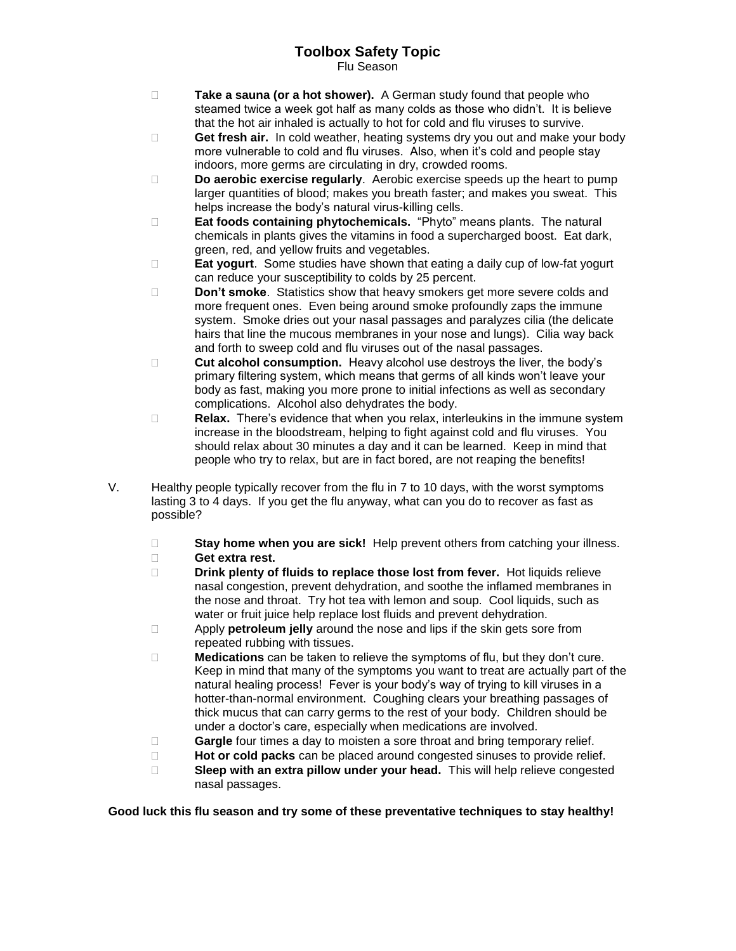## **Toolbox Safety Topic**

Flu Season

- **Take a sauna (or a hot shower).** A German study found that people who steamed twice a week got half as many colds as those who didn't. It is believe that the hot air inhaled is actually to hot for cold and flu viruses to survive.
- □ **Get fresh air.** In cold weather, heating systems dry you out and make your body more vulnerable to cold and flu viruses. Also, when it's cold and people stay indoors, more germs are circulating in dry, crowded rooms.
- **Do aerobic exercise regularly**. Aerobic exercise speeds up the heart to pump larger quantities of blood; makes you breath faster; and makes you sweat. This helps increase the body's natural virus-killing cells.
- **Eat foods containing phytochemicals.** "Phyto" means plants. The natural chemicals in plants gives the vitamins in food a supercharged boost. Eat dark, green, red, and yellow fruits and vegetables.
- **Eat yogurt**. Some studies have shown that eating a daily cup of low-fat yogurt can reduce your susceptibility to colds by 25 percent.
- **Don't smoke**. Statistics show that heavy smokers get more severe colds and more frequent ones. Even being around smoke profoundly zaps the immune system. Smoke dries out your nasal passages and paralyzes cilia (the delicate hairs that line the mucous membranes in your nose and lungs). Cilia way back and forth to sweep cold and flu viruses out of the nasal passages.
- **Cut alcohol consumption.** Heavy alcohol use destroys the liver, the body's primary filtering system, which means that germs of all kinds won't leave your body as fast, making you more prone to initial infections as well as secondary complications. Alcohol also dehydrates the body.
- **Relax.** There's evidence that when you relax, interleukins in the immune system increase in the bloodstream, helping to fight against cold and flu viruses. You should relax about 30 minutes a day and it can be learned. Keep in mind that people who try to relax, but are in fact bored, are not reaping the benefits!
- V. Healthy people typically recover from the flu in 7 to 10 days, with the worst symptoms lasting 3 to 4 days. If you get the flu anyway, what can you do to recover as fast as possible?
	- □ **Stay home when you are sick!** Help prevent others from catching your illness. **Get extra rest.**
	- **Drink plenty of fluids to replace those lost from fever.** Hot liquids relieve nasal congestion, prevent dehydration, and soothe the inflamed membranes in the nose and throat. Try hot tea with lemon and soup. Cool liquids, such as water or fruit juice help replace lost fluids and prevent dehydration.
	- Apply **petroleum jelly** around the nose and lips if the skin gets sore from repeated rubbing with tissues.
	- **Medications** can be taken to relieve the symptoms of flu, but they don't cure. Keep in mind that many of the symptoms you want to treat are actually part of the natural healing process! Fever is your body's way of trying to kill viruses in a hotter-than-normal environment. Coughing clears your breathing passages of thick mucus that can carry germs to the rest of your body. Children should be under a doctor's care, especially when medications are involved.
	- **Gargle** four times a day to moisten a sore throat and bring temporary relief.
	- **Hot or cold packs** can be placed around congested sinuses to provide relief.
	- **Sleep with an extra pillow under your head.** This will help relieve congested nasal passages.

**Good luck this flu season and try some of these preventative techniques to stay healthy!**